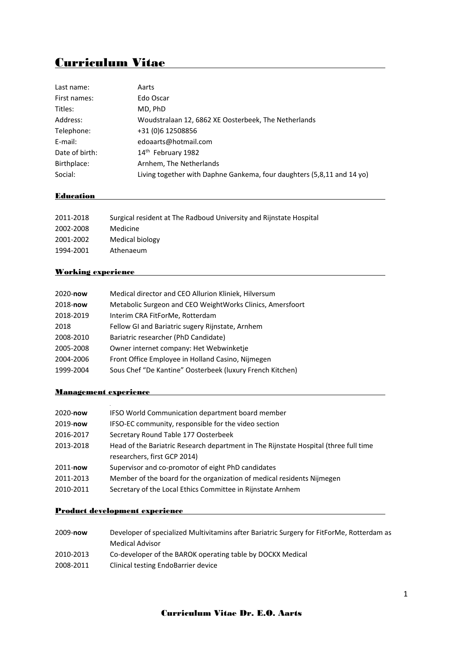# Curriculum Vitae

| Last name:     | Aarts                                                                  |
|----------------|------------------------------------------------------------------------|
| First names:   | Edo Oscar                                                              |
| Titles:        | MD, PhD                                                                |
| Address:       | Woudstralaan 12, 6862 XE Oosterbeek, The Netherlands                   |
| Telephone:     | +31 (0)6 12508856                                                      |
| E-mail:        | edoaarts@hotmail.com                                                   |
| Date of birth: | 14th February 1982                                                     |
| Birthplace:    | Arnhem, The Netherlands                                                |
| Social:        | Living together with Daphne Gankema, four daughters (5,8,11 and 14 yo) |
|                |                                                                        |

# **Education Example 2018**

| 2011-2018 | Surgical resident at The Radboud University and Rijnstate Hospital |
|-----------|--------------------------------------------------------------------|
| 2002-2008 | Medicine                                                           |
| 2001-2002 | Medical biology                                                    |
| 1994-2001 | Athenaeum                                                          |

## Working experience

| 2020-now  | Medical director and CEO Allurion Kliniek, Hilversum      |
|-----------|-----------------------------------------------------------|
| 2018-now  | Metabolic Surgeon and CEO WeightWorks Clinics, Amersfoort |
| 2018-2019 | Interim CRA FitForMe, Rotterdam                           |
| 2018      | Fellow GI and Bariatric sugery Rijnstate, Arnhem          |
| 2008-2010 | Bariatric researcher (PhD Candidate)                      |
| 2005-2008 | Owner internet company: Het Webwinketje                   |
| 2004-2006 | Front Office Employee in Holland Casino, Nijmegen         |
| 1999-2004 | Sous Chef "De Kantine" Oosterbeek (luxury French Kitchen) |

## Management experience

| 2020-now  | <b>IFSO World Communication department board member</b>                              |
|-----------|--------------------------------------------------------------------------------------|
| 2019-now  | IFSO-EC community, responsible for the video section                                 |
| 2016-2017 | Secretary Round Table 177 Oosterbeek                                                 |
| 2013-2018 | Head of the Bariatric Research department in The Rijnstate Hospital (three full time |
|           | researchers, first GCP 2014)                                                         |
| 2011-now  | Supervisor and co-promotor of eight PhD candidates                                   |
| 2011-2013 | Member of the board for the organization of medical residents Nijmegen               |
| 2010-2011 | Secretary of the Local Ethics Committee in Rijnstate Arnhem                          |

# Product development experience

| 2009-now  | Developer of specialized Multivitamins after Bariatric Surgery for FitForMe, Rotterdam as |
|-----------|-------------------------------------------------------------------------------------------|
|           | Medical Advisor                                                                           |
| 2010-2013 | Co-developer of the BAROK operating table by DOCKX Medical                                |
| 2008-2011 | Clinical testing EndoBarrier device                                                       |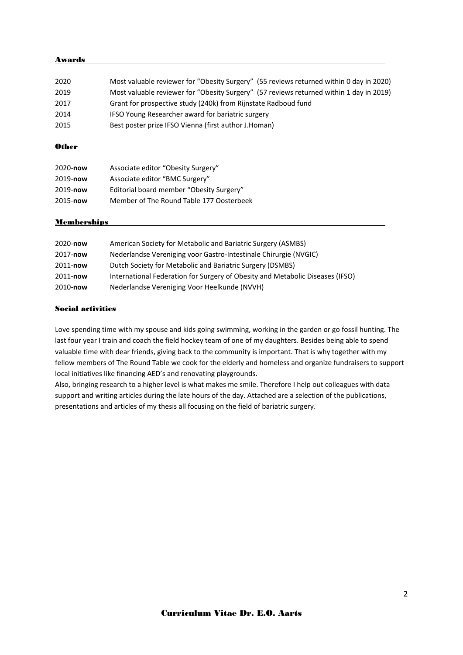#### Awards

| 2020 | Most valuable reviewer for "Obesity Surgery" (55 reviews returned within 0 day in 2020) |
|------|-----------------------------------------------------------------------------------------|
| 2019 | Most valuable reviewer for "Obesity Surgery" (57 reviews returned within 1 day in 2019) |
| 2017 | Grant for prospective study (240k) from Rijnstate Radboud fund                          |
| 2014 | IFSO Young Researcher award for bariatric surgery                                       |
| 2015 | Best poster prize IFSO Vienna (first author J.Homan)                                    |

#### **Other**

| Associate editor "Obesity Surgery"       |
|------------------------------------------|
| Associate editor "BMC Surgery"           |
| Editorial board member "Obesity Surgery" |
| Member of The Round Table 177 Oosterbeek |
|                                          |

#### **Memberships**

| 2020-now | American Society for Metabolic and Bariatric Surgery (ASMBS)                  |
|----------|-------------------------------------------------------------------------------|
| 2017-now | Nederlandse Vereniging voor Gastro-Intestinale Chirurgie (NVGIC)              |
| 2011-now | Dutch Society for Metabolic and Bariatric Surgery (DSMBS)                     |
| 2011-now | International Federation for Surgery of Obesity and Metabolic Diseases (IFSO) |
| 2010-now | Nederlandse Vereniging Voor Heelkunde (NVVH)                                  |

#### Social activities

Love spending time with my spouse and kids going swimming, working in the garden or go fossil hunting. The last four year I train and coach the field hockey team of one of my daughters. Besides being able to spend valuable time with dear friends, giving back to the community is important. That is why together with my fellow members of The Round Table we cook for the elderly and homeless and organize fundraisers to support local initiatives like financing AED's and renovating playgrounds.

Also, bringing research to a higher level is what makes me smile. Therefore I help out colleagues with data support and writing articles during the late hours of the day. Attached are a selection of the publications, presentations and articles of my thesis all focusing on the field of bariatric surgery.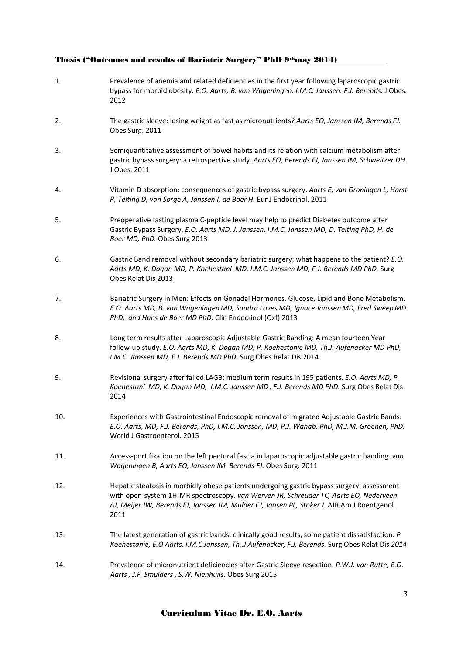#### Thesis ("Outcomes and results of Bariatric Surgery" PhD 9<sup>th</sup>may 2014)

1. Prevalence of anemia and related deficiencies in the first year following laparoscopic gastric bypass for morbid obesity. *E.O. Aarts, B. van Wageningen, I.M.C. Janssen, F.J. Berends.* J Obes. 2012 2. [The gastric sleeve: losing weight as fast as micronutrients?](http://www.ncbi.nlm.nih.gov/pubmed/21088925) *Aarts EO, Janssen IM, Berends FJ.*  Obes Surg. 2011 3. Semiquantitative assessment of bowel habits [and its relation with calcium metabolism after](http://www.ncbi.nlm.nih.gov/pubmed/21253537)  [gastric bypass surgery: a retrospective study.](http://www.ncbi.nlm.nih.gov/pubmed/21253537) *Aarts EO, Berends FJ, Janssen IM, Schweitzer DH.* J Obes. 2011 4. [Vitamin D absorption: consequences of gastric bypass surgery.](http://www.ncbi.nlm.nih.gov/pubmed/21339336) *Aarts E, van Groningen L, Horst R, Telting D, van Sorge A, Janssen I, de Boer H.* Eur J Endocrinol. 2011 5. Preoperative fasting plasma C-peptide level may help to predict Diabetes outcome after Gastric Bypass Surgery. *E.O. Aarts MD, J. Janssen, I.M.C. Janssen MD, D. Telting PhD, H. de Boer MD, PhD.* Obes Surg 2013 6. Gastric Band removal without secondary bariatric surgery; what happens to the patient? *E.O. Aarts MD, K. Dogan MD, P. Koehestani MD, I.M.C. Janssen MD, F.J. Berends MD PhD.* Surg Obes Relat Dis 2013 7. Bariatric Surgery in Men: Effects on Gonadal Hormones, Glucose, Lipid and Bone Metabolism. *E.O. Aarts MD, B. van Wageningen MD, Sandra Loves MD, Ignace Janssen MD, Fred Sweep MD PhD, and Hans de Boer MD PhD.* Clin Endocrinol (Oxf) 2013 8. Long term results after Laparoscopic Adjustable Gastric Banding: A mean fourteen Year follow-up study. *E.O. Aarts MD, K. Dogan MD, P. Koehestanie MD, Th.J. Aufenacker MD PhD, I.M.C. Janssen MD, F.J. Berends MD PhD.* Surg Obes Relat Dis 2014 9. Revisional surgery after failed LAGB; medium term results in 195 patients. *E.O. Aarts MD, P. Koehestani MD, K. Dogan MD, I.M.C. Janssen MD, F.J. Berends MD PhD.* Surg Obes Relat Dis 2014 10. Experiences with Gastrointestinal Endoscopic removal of migrated Adjustable Gastric Bands. *E.O. Aarts, MD, F.J. Berends, PhD, I.M.C. Janssen, MD, P.J. Wahab, PhD, M.J.M. Groenen, PhD.*  [World J Gastroenterol.](http://www.ncbi.nlm.nih.gov/pubmed/25663775) 2015 11*.* [Access-port fixation on the left pectoral fascia in laparoscopic adjustable gastric banding.](http://www.ncbi.nlm.nih.gov/pubmed/20437108) *van Wageningen B, Aarts EO, Janssen IM, Berends FJ.* Obes Surg. 2011 12. Hepatic steatosis in morbidly obese patients [undergoing gastric bypass surgery: assessment](http://www.ncbi.nlm.nih.gov/pubmed/21606262)  [with open-system 1H-MR spectroscopy.](http://www.ncbi.nlm.nih.gov/pubmed/21606262) *van Werven JR, Schreuder TC, Aarts EO, Nederveen*  AJ, Meijer JW, Berends FJ, Janssen IM, Mulder CJ, Jansen PL, Stoker J. AJR Am J Roentgenol. 2011 13. The latest generation of gastric bands: clinically good results, some patient dissatisfaction. *P. Koehestanie, E.O Aarts, I.M.C Janssen, Th..J Aufenacker, F.J. Berends.* Surg Obes Relat Dis *2014* 14. Prevalence of micronutrient deficiencies after Gastric Sleeve resection. *P.W.J. van Rutte, E.O. Aarts , J.F. Smulders , S.W. Nienhuijs.* Obes Surg 2015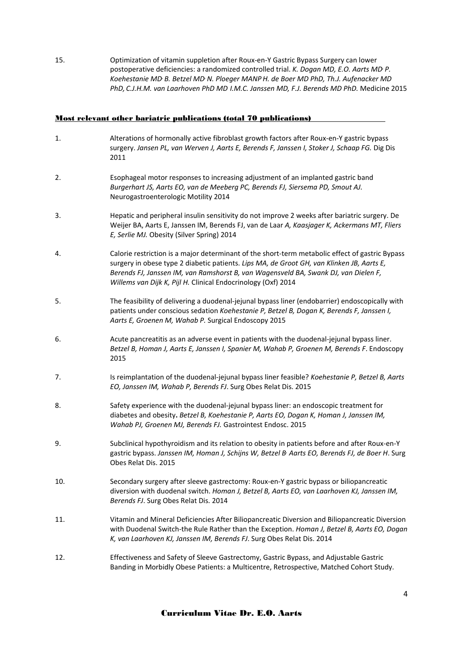15. Optimization of vitamin suppletion after Roux-en-Y Gastric Bypass Surgery can lower postoperative deficiencies: a randomized controlled trial. *K. Dogan MD, E.O. Aarts MD, P. Koehestanie MD, B. Betzel MD, N. Ploeger MANPH. de Boer MD PhD, Th.J. Aufenacker MD PhD, C.J.H.M. van Laarhoven PhD MD I.M.C. Janssen MD, F.J. Berends MD PhD.* Medicine 2015

#### Most relevant other bariatric publications (total 70 publications)

- 1. [Alterations of hormonally active fibroblast growth factors after Roux-en-Y gastric bypass](http://www.ncbi.nlm.nih.gov/pubmed/21691104)  [surgery.](http://www.ncbi.nlm.nih.gov/pubmed/21691104) *Jansen PL, van Werven J, Aarts E, Berends F, Janssen I, Stoker J, Schaap FG.* Dig Dis 2011
- 2. Esophageal motor responses to increasing adjustment of an implanted gastric band *Burgerhart JS, Aarts EO, van de Meeberg PC, Berends FJ, Siersema PD, Smout AJ.*  Neurogastroenterologic Motility 2014
- 3. Hepatic and peripheral insulin sensitivity do not improve 2 weeks after bariatric surgery. De Weijer BA, Aarts E, Janssen IM, Berends FJ, van de Laar *A, Kaasjager K, Ackermans MT, Fliers E, Serlie MJ.* Obesity (Silver Spring) 2014
- 4. Calorie restriction is a major determinant of the short-term metabolic effect of gastric Bypass surgery in obese type 2 diabetic patients. *Lips MA, de Groot GH, van Klinken JB, Aarts E, Berends FJ, Janssen IM, van Ramshorst B, van Wagensveld BA, Swank DJ, van Dielen F, Willems van Dijk K, Pijl H.* Clinical Endocrinology (Oxf) 2014
- 5. The feasibility of delivering a duodenal-jejunal bypass liner (endobarrier) endoscopically with patients under conscious sedation *Koehestanie P, Betzel B, Dogan K, Berends F, Janssen I, Aarts E, Groenen M, Wahab P.* Surgical Endoscopy 2015
- 6. Acute pancreatitis as an adverse event in patients with the duodenal-jejunal bypass liner. *[Betzel B,](http://www.ncbi.nlm.nih.gov/pubmed/?term=Betzel%20B%5BAuthor%5D&cauthor=true&cauthor_uid=26021308) [Homan J,](http://www.ncbi.nlm.nih.gov/pubmed/?term=Homan%20J%5BAuthor%5D&cauthor=true&cauthor_uid=26021308) [Aarts E,](http://www.ncbi.nlm.nih.gov/pubmed/?term=Aarts%20E%5BAuthor%5D&cauthor=true&cauthor_uid=26021308) [Janssen I,](http://www.ncbi.nlm.nih.gov/pubmed/?term=Janssen%20I%5BAuthor%5D&cauthor=true&cauthor_uid=26021308) [Spanier M,](http://www.ncbi.nlm.nih.gov/pubmed/?term=Spanier%20M%5BAuthor%5D&cauthor=true&cauthor_uid=26021308) [Wahab P,](http://www.ncbi.nlm.nih.gov/pubmed/?term=Wahab%20P%5BAuthor%5D&cauthor=true&cauthor_uid=26021308) [Groenen M,](http://www.ncbi.nlm.nih.gov/pubmed/?term=Groenen%20M%5BAuthor%5D&cauthor=true&cauthor_uid=26021308) [Berends F](http://www.ncbi.nlm.nih.gov/pubmed/?term=Berends%20F%5BAuthor%5D&cauthor=true&cauthor_uid=26021308)*. Endoscopy 2015
- 7. Is reimplantation of the duodenal-jejunal bypass liner feasible? *[Koehestanie P,](http://www.ncbi.nlm.nih.gov/pubmed/?term=Koehestanie%20P%5BAuthor%5D&cauthor=true&cauthor_uid=25979208) [Betzel B,](http://www.ncbi.nlm.nih.gov/pubmed/?term=Betzel%20B%5BAuthor%5D&cauthor=true&cauthor_uid=25979208) [Aarts](http://www.ncbi.nlm.nih.gov/pubmed/?term=Aarts%20EO%5BAuthor%5D&cauthor=true&cauthor_uid=25979208)  [EO,](http://www.ncbi.nlm.nih.gov/pubmed/?term=Aarts%20EO%5BAuthor%5D&cauthor=true&cauthor_uid=25979208) [Janssen IM,](http://www.ncbi.nlm.nih.gov/pubmed/?term=Janssen%20IM%5BAuthor%5D&cauthor=true&cauthor_uid=25979208) [Wahab P,](http://www.ncbi.nlm.nih.gov/pubmed/?term=Wahab%20P%5BAuthor%5D&cauthor=true&cauthor_uid=25979208) [Berends FJ](http://www.ncbi.nlm.nih.gov/pubmed/?term=Berends%20FJ%5BAuthor%5D&cauthor=true&cauthor_uid=25979208)*. [Surg Obes Relat Dis.](http://www.ncbi.nlm.nih.gov/pubmed/25979208) 2015
- 8. Safety experience with the duodenal-jejunal bypass liner: an endoscopic treatment for diabetes and obesity**.** *[Betzel B,](http://www.ncbi.nlm.nih.gov/pubmed/?term=Betzel%20B%5BAuthor%5D&cauthor=true&cauthor_uid=25952090) [Koehestanie P,](http://www.ncbi.nlm.nih.gov/pubmed/?term=Koehestanie%20P%5BAuthor%5D&cauthor=true&cauthor_uid=25952090) [Aarts EO,](http://www.ncbi.nlm.nih.gov/pubmed/?term=Aarts%20EO%5BAuthor%5D&cauthor=true&cauthor_uid=25952090) [Dogan K,](http://www.ncbi.nlm.nih.gov/pubmed/?term=Dogan%20K%5BAuthor%5D&cauthor=true&cauthor_uid=25952090) [Homan J,](http://www.ncbi.nlm.nih.gov/pubmed/?term=Homan%20J%5BAuthor%5D&cauthor=true&cauthor_uid=25952090) [Janssen IM,](http://www.ncbi.nlm.nih.gov/pubmed/?term=Janssen%20IM%5BAuthor%5D&cauthor=true&cauthor_uid=25952090) [Wahab PJ,](http://www.ncbi.nlm.nih.gov/pubmed/?term=Wahab%20PJ%5BAuthor%5D&cauthor=true&cauthor_uid=25952090) [Groenen MJ,](http://www.ncbi.nlm.nih.gov/pubmed/?term=Groenen%20MJ%5BAuthor%5D&cauthor=true&cauthor_uid=25952090) [Berends FJ.](http://www.ncbi.nlm.nih.gov/pubmed/?term=Berends%20FJ%5BAuthor%5D&cauthor=true&cauthor_uid=25952090)* [Gastrointest Endosc.](http://www.ncbi.nlm.nih.gov/pubmed/25952090) 2015
- 9. Subclinical hypothyroidism and its relation to obesity in patients before and after Roux-en-Y gastric bypass. *[Janssen IM,](http://www.ncbi.nlm.nih.gov/pubmed/?term=Janssen%20IM%5BAuthor%5D&cauthor=true&cauthor_uid=25868841) [Homan J,](http://www.ncbi.nlm.nih.gov/pubmed/?term=Homan%20J%5BAuthor%5D&cauthor=true&cauthor_uid=25868841) [Schijns W,](http://www.ncbi.nlm.nih.gov/pubmed/?term=Schijns%20W%5BAuthor%5D&cauthor=true&cauthor_uid=25868841) [Betzel B](http://www.ncbi.nlm.nih.gov/pubmed/?term=Betzel%20B%5BAuthor%5D&cauthor=true&cauthor_uid=25868841), [Aarts EO,](http://www.ncbi.nlm.nih.gov/pubmed/?term=Aarts%20EO%5BAuthor%5D&cauthor=true&cauthor_uid=25868841) [Berends FJ,](http://www.ncbi.nlm.nih.gov/pubmed/?term=Berends%20FJ%5BAuthor%5D&cauthor=true&cauthor_uid=25868841) [de Boer H](http://www.ncbi.nlm.nih.gov/pubmed/?term=de%20Boer%20H%5BAuthor%5D&cauthor=true&cauthor_uid=25868841)*. [Surg](http://www.ncbi.nlm.nih.gov/pubmed/25868841)  [Obes Relat Dis.](http://www.ncbi.nlm.nih.gov/pubmed/25868841) 2015
- 10. Secondary surgery after sleeve gastrectomy: Roux-en-Y gastric bypass or biliopancreatic diversion with duodenal switch. *[Homan J,](http://www.ncbi.nlm.nih.gov/pubmed/?term=Homan%20J%5BAuthor%5D&cauthor=true&cauthor_uid=25769402) [Betzel B,](http://www.ncbi.nlm.nih.gov/pubmed/?term=Betzel%20B%5BAuthor%5D&cauthor=true&cauthor_uid=25769402) [Aarts EO,](http://www.ncbi.nlm.nih.gov/pubmed/?term=Aarts%20EO%5BAuthor%5D&cauthor=true&cauthor_uid=25769402) [van Laarhoven KJ,](http://www.ncbi.nlm.nih.gov/pubmed/?term=van%20Laarhoven%20KJ%5BAuthor%5D&cauthor=true&cauthor_uid=25769402) [Janssen IM,](http://www.ncbi.nlm.nih.gov/pubmed/?term=Janssen%20IM%5BAuthor%5D&cauthor=true&cauthor_uid=25769402)  [Berends FJ](http://www.ncbi.nlm.nih.gov/pubmed/?term=Berends%20FJ%5BAuthor%5D&cauthor=true&cauthor_uid=25769402)*. [Surg Obes Relat Dis.](http://www.ncbi.nlm.nih.gov/pubmed/25769402) 2014
- 11. Vitamin and Mineral Deficiencies After Biliopancreatic Diversion and Biliopancreatic Diversion with Duodenal Switch-the Rule Rather than the Exception. *[Homan J,](http://www.ncbi.nlm.nih.gov/pubmed/?term=Homan%20J%5BAuthor%5D&cauthor=true&cauthor_uid=25595384) [Betzel B,](http://www.ncbi.nlm.nih.gov/pubmed/?term=Betzel%20B%5BAuthor%5D&cauthor=true&cauthor_uid=25595384) [Aarts EO,](http://www.ncbi.nlm.nih.gov/pubmed/?term=Aarts%20EO%5BAuthor%5D&cauthor=true&cauthor_uid=25595384) [Dogan](http://www.ncbi.nlm.nih.gov/pubmed/?term=Dogan%20K%5BAuthor%5D&cauthor=true&cauthor_uid=25595384)  [K,](http://www.ncbi.nlm.nih.gov/pubmed/?term=Dogan%20K%5BAuthor%5D&cauthor=true&cauthor_uid=25595384) [van Laarhoven KJ,](http://www.ncbi.nlm.nih.gov/pubmed/?term=van%20Laarhoven%20KJ%5BAuthor%5D&cauthor=true&cauthor_uid=25595384) [Janssen IM,](http://www.ncbi.nlm.nih.gov/pubmed/?term=Janssen%20IM%5BAuthor%5D&cauthor=true&cauthor_uid=25595384) [Berends FJ](http://www.ncbi.nlm.nih.gov/pubmed/?term=Berends%20FJ%5BAuthor%5D&cauthor=true&cauthor_uid=25595384)*. [Surg Obes Relat Dis.](http://www.ncbi.nlm.nih.gov/pubmed/25769402) 2014
- 12. [Effectiveness and Safety of Sleeve Gastrectomy, Gastric Bypass, and Adjustable Gastric](http://www.ncbi.nlm.nih.gov/pubmed/25408433)  [Banding in Morbidly Obese Patients: a Multicentre, Retrospective, Matched Cohort Study.](http://www.ncbi.nlm.nih.gov/pubmed/25408433)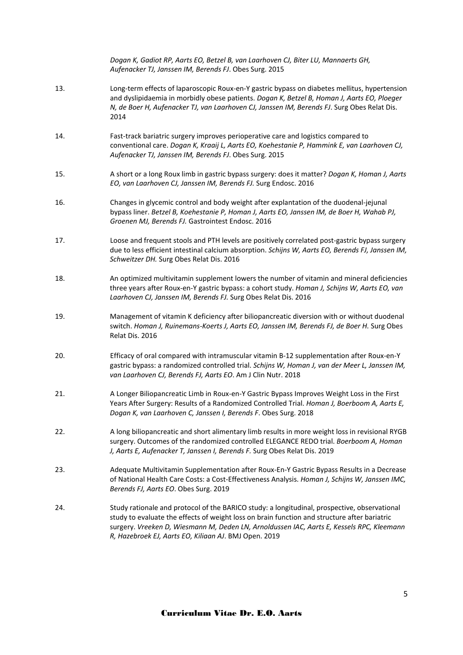|     | Dogan K, Gadiot RP, Aarts EO, Betzel B, van Laarhoven CJ, Biter LU, Mannaerts GH,<br>Aufenacker TJ, Janssen IM, Berends FJ. Obes Surg. 2015                                                                                                                                                                                                        |
|-----|----------------------------------------------------------------------------------------------------------------------------------------------------------------------------------------------------------------------------------------------------------------------------------------------------------------------------------------------------|
| 13. | Long-term effects of laparoscopic Roux-en-Y gastric bypass on diabetes mellitus, hypertension<br>and dyslipidaemia in morbidly obese patients. Dogan K, Betzel B, Homan J, Aarts EO, Ploeger<br>N, de Boer H, Aufenacker TJ, van Laarhoven CJ, Janssen IM, Berends FJ. Surg Obes Relat Dis.<br>2014                                                |
| 14. | Fast-track bariatric surgery improves perioperative care and logistics compared to<br>conventional care. Dogan K, Kraaij L, Aarts EO, Koehestanie P, Hammink E, van Laarhoven CJ,<br>Aufenacker TJ, Janssen IM, Berends FJ. Obes Surg. 2015                                                                                                        |
| 15. | A short or a long Roux limb in gastric bypass surgery: does it matter? Dogan K, Homan J, Aarts<br>EO, van Laarhoven CJ, Janssen IM, Berends FJ. Surg Endosc. 2016                                                                                                                                                                                  |
| 16. | Changes in glycemic control and body weight after explantation of the duodenal-jejunal<br>bypass liner. Betzel B, Koehestanie P, Homan J, Aarts EO, Janssen IM, de Boer H, Wahab PJ,<br>Groenen MJ, Berends FJ. Gastrointest Endosc. 2016                                                                                                          |
| 17. | Loose and frequent stools and PTH levels are positively correlated post-gastric bypass surgery<br>due to less efficient intestinal calcium absorption. Schijns W, Aarts EO, Berends FJ, Janssen IM,<br>Schweitzer DH. Surg Obes Relat Dis. 2016                                                                                                    |
| 18. | An optimized multivitamin supplement lowers the number of vitamin and mineral deficiencies<br>three years after Roux-en-Y gastric bypass: a cohort study. Homan J, Schijns W, Aarts EO, van<br>Laarhoven CJ, Janssen IM, Berends FJ. Surg Obes Relat Dis. 2016                                                                                     |
| 19. | Management of vitamin K deficiency after biliopancreatic diversion with or without duodenal<br>switch. Homan J, Ruinemans-Koerts J, Aarts EO, Janssen IM, Berends FJ, de Boer H. Surg Obes<br>Relat Dis. 2016                                                                                                                                      |
| 20. | Efficacy of oral compared with intramuscular vitamin B-12 supplementation after Roux-en-Y<br>gastric bypass: a randomized controlled trial. Schijns W, Homan J, van der Meer L, Janssen IM,<br>van Laarhoven CJ, Berends FJ, Aarts EO. Am J Clin Nutr. 2018                                                                                        |
| 21. | A Longer Biliopancreatic Limb in Roux-en-Y Gastric Bypass Improves Weight Loss in the First<br>Years After Surgery: Results of a Randomized Controlled Trial. Homan J, Boerboom A, Aarts E,<br>Dogan K, van Laarhoven C, Janssen I, Berends F. Obes Surg. 2018                                                                                     |
| 22. | A long biliopancreatic and short alimentary limb results in more weight loss in revisional RYGB<br>surgery. Outcomes of the randomized controlled ELEGANCE REDO trial. Boerboom A, Homan<br>J, Aarts E, Aufenacker T, Janssen I, Berends F. Surg Obes Relat Dis. 2019                                                                              |
| 23. | Adequate Multivitamin Supplementation after Roux-En-Y Gastric Bypass Results in a Decrease<br>of National Health Care Costs: a Cost-Effectiveness Analysis. Homan J, Schijns W, Janssen IMC,<br>Berends FJ, Aarts EO. Obes Surg. 2019                                                                                                              |
| 24. | Study rationale and protocol of the BARICO study: a longitudinal, prospective, observational<br>study to evaluate the effects of weight loss on brain function and structure after bariatric<br>surgery. Vreeken D, Wiesmann M, Deden LN, Arnoldussen IAC, Aarts E, Kessels RPC, Kleemann<br>R, Hazebroek EJ, Aarts EO, Kiliaan AJ. BMJ Open. 2019 |
|     |                                                                                                                                                                                                                                                                                                                                                    |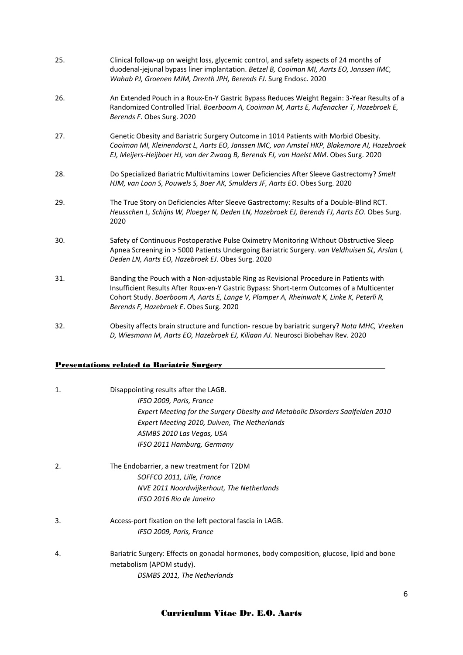| 25. | Clinical follow-up on weight loss, glycemic control, and safety aspects of 24 months of<br>duodenal-jejunal bypass liner implantation. Betzel B, Cooiman MI, Aarts EO, Janssen IMC,<br>Wahab PJ, Groenen MJM, Drenth JPH, Berends FJ. Surg Endosc. 2020                                                                  |
|-----|--------------------------------------------------------------------------------------------------------------------------------------------------------------------------------------------------------------------------------------------------------------------------------------------------------------------------|
| 26. | An Extended Pouch in a Roux-En-Y Gastric Bypass Reduces Weight Regain: 3-Year Results of a<br>Randomized Controlled Trial. Boerboom A, Cooiman M, Aarts E, Aufenacker T, Hazebroek E,<br>Berends F. Obes Surg. 2020                                                                                                      |
| 27. | Genetic Obesity and Bariatric Surgery Outcome in 1014 Patients with Morbid Obesity.<br>Cooiman MI, Kleinendorst L, Aarts EO, Janssen IMC, van Amstel HKP, Blakemore AI, Hazebroek<br>EJ, Meijers-Heijboer HJ, van der Zwaag B, Berends FJ, van Haelst MM. Obes Surg. 2020                                                |
| 28. | Do Specialized Bariatric Multivitamins Lower Deficiencies After Sleeve Gastrectomy? Smelt<br>HJM, van Loon S, Pouwels S, Boer AK, Smulders JF, Aarts EO. Obes Surg. 2020                                                                                                                                                 |
| 29. | The True Story on Deficiencies After Sleeve Gastrectomy: Results of a Double-Blind RCT.<br>Heusschen L, Schijns W, Ploeger N, Deden LN, Hazebroek EJ, Berends FJ, Aarts EO. Obes Surg.<br>2020                                                                                                                           |
| 30. | Safety of Continuous Postoperative Pulse Oximetry Monitoring Without Obstructive Sleep<br>Apnea Screening in > 5000 Patients Undergoing Bariatric Surgery. van Veldhuisen SL, Arslan I,<br>Deden LN, Aarts EO, Hazebroek EJ. Obes Surg. 2020                                                                             |
| 31. | Banding the Pouch with a Non-adjustable Ring as Revisional Procedure in Patients with<br>Insufficient Results After Roux-en-Y Gastric Bypass: Short-term Outcomes of a Multicenter<br>Cohort Study. Boerboom A, Aarts E, Lange V, Plamper A, Rheinwalt K, Linke K, Peterli R,<br>Berends F, Hazebroek E. Obes Surg. 2020 |
| 32. | Obesity affects brain structure and function- rescue by bariatric surgery? Nota MHC, Vreeken<br>D, Wiesmann M, Aarts EO, Hazebroek EJ, Kiliaan AJ. Neurosci Biobehav Rev. 2020                                                                                                                                           |

## Presentations related to Bariatric Surgery

| 1.               | Disappointing results after the LAGB.<br>IFSO 2009, Paris, France<br>Expert Meeting for the Surgery Obesity and Metabolic Disorders Saalfelden 2010<br>Expert Meeting 2010, Duiven, The Netherlands<br>ASMBS 2010 Las Vegas, USA<br>IFSO 2011 Hamburg, Germany |
|------------------|----------------------------------------------------------------------------------------------------------------------------------------------------------------------------------------------------------------------------------------------------------------|
| $\overline{2}$ . | The Endobarrier, a new treatment for T2DM<br>SOFFCO 2011, Lille, France<br>NVE 2011 Noordwijkerhout, The Netherlands<br>IFSO 2016 Rio de Janeiro                                                                                                               |
| 3.               | Access-port fixation on the left pectoral fascia in LAGB.<br>IFSO 2009, Paris, France                                                                                                                                                                          |
| 4.               | Bariatric Surgery: Effects on gonadal hormones, body composition, glucose, lipid and bone<br>metabolism (APOM study).<br>DSMBS 2011, The Netherlands                                                                                                           |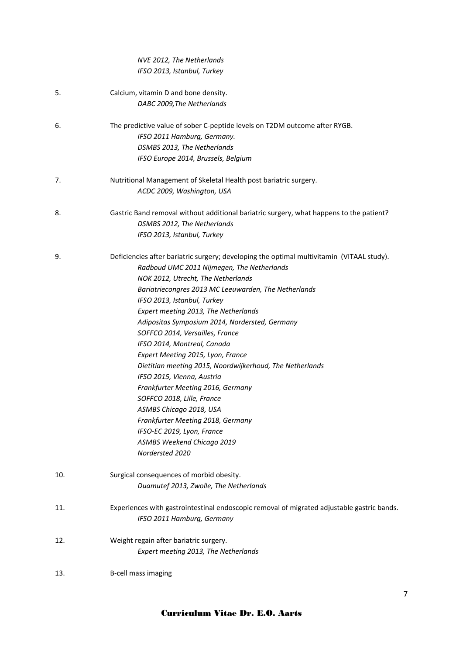|     | NVE 2012, The Netherlands                                                                     |
|-----|-----------------------------------------------------------------------------------------------|
|     | IFSO 2013, Istanbul, Turkey                                                                   |
| 5.  | Calcium, vitamin D and bone density.                                                          |
|     | DABC 2009, The Netherlands                                                                    |
| 6.  | The predictive value of sober C-peptide levels on T2DM outcome after RYGB.                    |
|     | IFSO 2011 Hamburg, Germany.                                                                   |
|     | DSMBS 2013, The Netherlands                                                                   |
|     | IFSO Europe 2014, Brussels, Belgium                                                           |
| 7.  | Nutritional Management of Skeletal Health post bariatric surgery.                             |
|     | ACDC 2009, Washington, USA                                                                    |
| 8.  | Gastric Band removal without additional bariatric surgery, what happens to the patient?       |
|     | DSMBS 2012, The Netherlands                                                                   |
|     | IFSO 2013, Istanbul, Turkey                                                                   |
| 9.  | Deficiencies after bariatric surgery; developing the optimal multivitamin (VITAAL study).     |
|     | Radboud UMC 2011 Nijmegen, The Netherlands                                                    |
|     | NOK 2012, Utrecht, The Netherlands                                                            |
|     | Bariatriecongres 2013 MC Leeuwarden, The Netherlands                                          |
|     | IFSO 2013, Istanbul, Turkey                                                                   |
|     | Expert meeting 2013, The Netherlands                                                          |
|     | Adipositas Symposium 2014, Nordersted, Germany                                                |
|     | SOFFCO 2014, Versailles, France                                                               |
|     | IFSO 2014, Montreal, Canada                                                                   |
|     | Expert Meeting 2015, Lyon, France<br>Dietitian meeting 2015, Noordwijkerhoud, The Netherlands |
|     | IFSO 2015, Vienna, Austria                                                                    |
|     | Frankfurter Meeting 2016, Germany                                                             |
|     | SOFFCO 2018, Lille, France                                                                    |
|     | ASMBS Chicago 2018, USA                                                                       |
|     | Frankfurter Meeting 2018, Germany                                                             |
|     | IFSO-EC 2019, Lyon, France                                                                    |
|     | ASMBS Weekend Chicago 2019                                                                    |
|     | Nordersted 2020                                                                               |
| 10. | Surgical consequences of morbid obesity.                                                      |
|     | Duamutef 2013, Zwolle, The Netherlands                                                        |
| 11. | Experiences with gastrointestinal endoscopic removal of migrated adjustable gastric bands.    |
|     | IFSO 2011 Hamburg, Germany                                                                    |
| 12. | Weight regain after bariatric surgery.                                                        |
|     | Expert meeting 2013, The Netherlands                                                          |
| 13. | B-cell mass imaging                                                                           |
|     |                                                                                               |